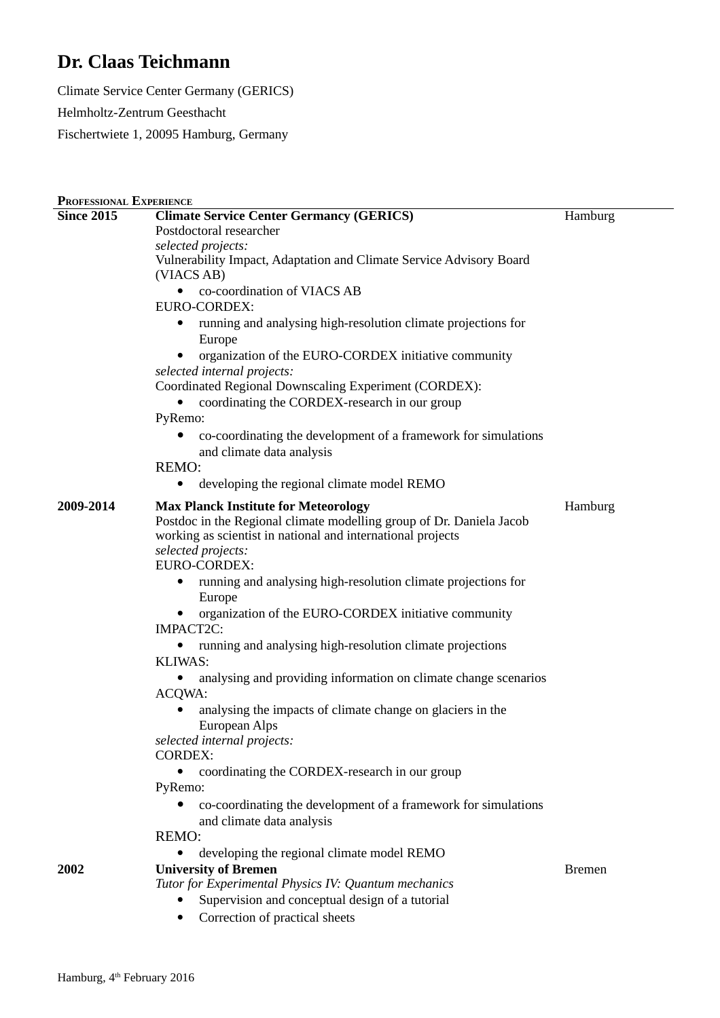## **Dr. Claas Teichmann**

Climate Service Center Germany (GERICS) Helmholtz-Zentrum Geesthacht Fischertwiete 1, 20095 Hamburg, Germany

| Hamburg<br>Postdoctoral researcher<br>selected projects:<br>Vulnerability Impact, Adaptation and Climate Service Advisory Board<br>(VIACS AB)<br>co-coordination of VIACS AB<br>$\bullet$<br>EURO-CORDEX:<br>running and analysing high-resolution climate projections for<br>$\bullet$<br>Europe<br>organization of the EURO-CORDEX initiative community<br>selected internal projects:<br>Coordinated Regional Downscaling Experiment (CORDEX):<br>coordinating the CORDEX-research in our group<br>PyRemo:<br>co-coordinating the development of a framework for simulations<br>and climate data analysis<br><b>REMO:</b><br>developing the regional climate model REMO<br><b>Max Planck Institute for Meteorology</b><br>Hamburg<br>Postdoc in the Regional climate modelling group of Dr. Daniela Jacob<br>working as scientist in national and international projects<br>selected projects:<br>EURO-CORDEX:<br>running and analysing high-resolution climate projections for<br>$\bullet$<br>Europe<br>organization of the EURO-CORDEX initiative community<br>IMPACT2C:<br>running and analysing high-resolution climate projections<br>KLIWAS:<br>analysing and providing information on climate change scenarios<br>ACQWA:<br>analysing the impacts of climate change on glaciers in the<br>European Alps<br>selected internal projects:<br><b>CORDEX:</b><br>coordinating the CORDEX-research in our group<br>٠<br>PyRemo:<br>co-coordinating the development of a framework for simulations<br>and climate data analysis<br>REMO:<br>developing the regional climate model REMO<br>2002<br><b>University of Bremen</b><br><b>Bremen</b><br>Tutor for Experimental Physics IV: Quantum mechanics<br>Supervision and conceptual design of a tutorial | PROFESSIONAL EXPERIENCE |                                                 |  |
|---------------------------------------------------------------------------------------------------------------------------------------------------------------------------------------------------------------------------------------------------------------------------------------------------------------------------------------------------------------------------------------------------------------------------------------------------------------------------------------------------------------------------------------------------------------------------------------------------------------------------------------------------------------------------------------------------------------------------------------------------------------------------------------------------------------------------------------------------------------------------------------------------------------------------------------------------------------------------------------------------------------------------------------------------------------------------------------------------------------------------------------------------------------------------------------------------------------------------------------------------------------------------------------------------------------------------------------------------------------------------------------------------------------------------------------------------------------------------------------------------------------------------------------------------------------------------------------------------------------------------------------------------------------------------------------------------------------------------------------------------------------|-------------------------|-------------------------------------------------|--|
|                                                                                                                                                                                                                                                                                                                                                                                                                                                                                                                                                                                                                                                                                                                                                                                                                                                                                                                                                                                                                                                                                                                                                                                                                                                                                                                                                                                                                                                                                                                                                                                                                                                                                                                                                               | <b>Since 2015</b>       | <b>Climate Service Center Germancy (GERICS)</b> |  |
|                                                                                                                                                                                                                                                                                                                                                                                                                                                                                                                                                                                                                                                                                                                                                                                                                                                                                                                                                                                                                                                                                                                                                                                                                                                                                                                                                                                                                                                                                                                                                                                                                                                                                                                                                               |                         |                                                 |  |
|                                                                                                                                                                                                                                                                                                                                                                                                                                                                                                                                                                                                                                                                                                                                                                                                                                                                                                                                                                                                                                                                                                                                                                                                                                                                                                                                                                                                                                                                                                                                                                                                                                                                                                                                                               |                         |                                                 |  |
|                                                                                                                                                                                                                                                                                                                                                                                                                                                                                                                                                                                                                                                                                                                                                                                                                                                                                                                                                                                                                                                                                                                                                                                                                                                                                                                                                                                                                                                                                                                                                                                                                                                                                                                                                               |                         |                                                 |  |
|                                                                                                                                                                                                                                                                                                                                                                                                                                                                                                                                                                                                                                                                                                                                                                                                                                                                                                                                                                                                                                                                                                                                                                                                                                                                                                                                                                                                                                                                                                                                                                                                                                                                                                                                                               |                         |                                                 |  |
|                                                                                                                                                                                                                                                                                                                                                                                                                                                                                                                                                                                                                                                                                                                                                                                                                                                                                                                                                                                                                                                                                                                                                                                                                                                                                                                                                                                                                                                                                                                                                                                                                                                                                                                                                               |                         |                                                 |  |
|                                                                                                                                                                                                                                                                                                                                                                                                                                                                                                                                                                                                                                                                                                                                                                                                                                                                                                                                                                                                                                                                                                                                                                                                                                                                                                                                                                                                                                                                                                                                                                                                                                                                                                                                                               |                         |                                                 |  |
|                                                                                                                                                                                                                                                                                                                                                                                                                                                                                                                                                                                                                                                                                                                                                                                                                                                                                                                                                                                                                                                                                                                                                                                                                                                                                                                                                                                                                                                                                                                                                                                                                                                                                                                                                               |                         |                                                 |  |
|                                                                                                                                                                                                                                                                                                                                                                                                                                                                                                                                                                                                                                                                                                                                                                                                                                                                                                                                                                                                                                                                                                                                                                                                                                                                                                                                                                                                                                                                                                                                                                                                                                                                                                                                                               |                         |                                                 |  |
|                                                                                                                                                                                                                                                                                                                                                                                                                                                                                                                                                                                                                                                                                                                                                                                                                                                                                                                                                                                                                                                                                                                                                                                                                                                                                                                                                                                                                                                                                                                                                                                                                                                                                                                                                               |                         |                                                 |  |
|                                                                                                                                                                                                                                                                                                                                                                                                                                                                                                                                                                                                                                                                                                                                                                                                                                                                                                                                                                                                                                                                                                                                                                                                                                                                                                                                                                                                                                                                                                                                                                                                                                                                                                                                                               |                         |                                                 |  |
|                                                                                                                                                                                                                                                                                                                                                                                                                                                                                                                                                                                                                                                                                                                                                                                                                                                                                                                                                                                                                                                                                                                                                                                                                                                                                                                                                                                                                                                                                                                                                                                                                                                                                                                                                               |                         |                                                 |  |
|                                                                                                                                                                                                                                                                                                                                                                                                                                                                                                                                                                                                                                                                                                                                                                                                                                                                                                                                                                                                                                                                                                                                                                                                                                                                                                                                                                                                                                                                                                                                                                                                                                                                                                                                                               |                         |                                                 |  |
|                                                                                                                                                                                                                                                                                                                                                                                                                                                                                                                                                                                                                                                                                                                                                                                                                                                                                                                                                                                                                                                                                                                                                                                                                                                                                                                                                                                                                                                                                                                                                                                                                                                                                                                                                               |                         |                                                 |  |
|                                                                                                                                                                                                                                                                                                                                                                                                                                                                                                                                                                                                                                                                                                                                                                                                                                                                                                                                                                                                                                                                                                                                                                                                                                                                                                                                                                                                                                                                                                                                                                                                                                                                                                                                                               |                         |                                                 |  |
|                                                                                                                                                                                                                                                                                                                                                                                                                                                                                                                                                                                                                                                                                                                                                                                                                                                                                                                                                                                                                                                                                                                                                                                                                                                                                                                                                                                                                                                                                                                                                                                                                                                                                                                                                               | 2009-2014               |                                                 |  |
|                                                                                                                                                                                                                                                                                                                                                                                                                                                                                                                                                                                                                                                                                                                                                                                                                                                                                                                                                                                                                                                                                                                                                                                                                                                                                                                                                                                                                                                                                                                                                                                                                                                                                                                                                               |                         |                                                 |  |
|                                                                                                                                                                                                                                                                                                                                                                                                                                                                                                                                                                                                                                                                                                                                                                                                                                                                                                                                                                                                                                                                                                                                                                                                                                                                                                                                                                                                                                                                                                                                                                                                                                                                                                                                                               |                         |                                                 |  |
|                                                                                                                                                                                                                                                                                                                                                                                                                                                                                                                                                                                                                                                                                                                                                                                                                                                                                                                                                                                                                                                                                                                                                                                                                                                                                                                                                                                                                                                                                                                                                                                                                                                                                                                                                               |                         |                                                 |  |
|                                                                                                                                                                                                                                                                                                                                                                                                                                                                                                                                                                                                                                                                                                                                                                                                                                                                                                                                                                                                                                                                                                                                                                                                                                                                                                                                                                                                                                                                                                                                                                                                                                                                                                                                                               |                         |                                                 |  |
|                                                                                                                                                                                                                                                                                                                                                                                                                                                                                                                                                                                                                                                                                                                                                                                                                                                                                                                                                                                                                                                                                                                                                                                                                                                                                                                                                                                                                                                                                                                                                                                                                                                                                                                                                               |                         |                                                 |  |
|                                                                                                                                                                                                                                                                                                                                                                                                                                                                                                                                                                                                                                                                                                                                                                                                                                                                                                                                                                                                                                                                                                                                                                                                                                                                                                                                                                                                                                                                                                                                                                                                                                                                                                                                                               |                         |                                                 |  |
|                                                                                                                                                                                                                                                                                                                                                                                                                                                                                                                                                                                                                                                                                                                                                                                                                                                                                                                                                                                                                                                                                                                                                                                                                                                                                                                                                                                                                                                                                                                                                                                                                                                                                                                                                               |                         |                                                 |  |
|                                                                                                                                                                                                                                                                                                                                                                                                                                                                                                                                                                                                                                                                                                                                                                                                                                                                                                                                                                                                                                                                                                                                                                                                                                                                                                                                                                                                                                                                                                                                                                                                                                                                                                                                                               |                         |                                                 |  |
|                                                                                                                                                                                                                                                                                                                                                                                                                                                                                                                                                                                                                                                                                                                                                                                                                                                                                                                                                                                                                                                                                                                                                                                                                                                                                                                                                                                                                                                                                                                                                                                                                                                                                                                                                               |                         |                                                 |  |
|                                                                                                                                                                                                                                                                                                                                                                                                                                                                                                                                                                                                                                                                                                                                                                                                                                                                                                                                                                                                                                                                                                                                                                                                                                                                                                                                                                                                                                                                                                                                                                                                                                                                                                                                                               |                         |                                                 |  |
|                                                                                                                                                                                                                                                                                                                                                                                                                                                                                                                                                                                                                                                                                                                                                                                                                                                                                                                                                                                                                                                                                                                                                                                                                                                                                                                                                                                                                                                                                                                                                                                                                                                                                                                                                               |                         |                                                 |  |
|                                                                                                                                                                                                                                                                                                                                                                                                                                                                                                                                                                                                                                                                                                                                                                                                                                                                                                                                                                                                                                                                                                                                                                                                                                                                                                                                                                                                                                                                                                                                                                                                                                                                                                                                                               |                         |                                                 |  |
|                                                                                                                                                                                                                                                                                                                                                                                                                                                                                                                                                                                                                                                                                                                                                                                                                                                                                                                                                                                                                                                                                                                                                                                                                                                                                                                                                                                                                                                                                                                                                                                                                                                                                                                                                               |                         |                                                 |  |
|                                                                                                                                                                                                                                                                                                                                                                                                                                                                                                                                                                                                                                                                                                                                                                                                                                                                                                                                                                                                                                                                                                                                                                                                                                                                                                                                                                                                                                                                                                                                                                                                                                                                                                                                                               |                         |                                                 |  |
|                                                                                                                                                                                                                                                                                                                                                                                                                                                                                                                                                                                                                                                                                                                                                                                                                                                                                                                                                                                                                                                                                                                                                                                                                                                                                                                                                                                                                                                                                                                                                                                                                                                                                                                                                               |                         |                                                 |  |
|                                                                                                                                                                                                                                                                                                                                                                                                                                                                                                                                                                                                                                                                                                                                                                                                                                                                                                                                                                                                                                                                                                                                                                                                                                                                                                                                                                                                                                                                                                                                                                                                                                                                                                                                                               |                         |                                                 |  |
|                                                                                                                                                                                                                                                                                                                                                                                                                                                                                                                                                                                                                                                                                                                                                                                                                                                                                                                                                                                                                                                                                                                                                                                                                                                                                                                                                                                                                                                                                                                                                                                                                                                                                                                                                               |                         |                                                 |  |
|                                                                                                                                                                                                                                                                                                                                                                                                                                                                                                                                                                                                                                                                                                                                                                                                                                                                                                                                                                                                                                                                                                                                                                                                                                                                                                                                                                                                                                                                                                                                                                                                                                                                                                                                                               |                         |                                                 |  |
|                                                                                                                                                                                                                                                                                                                                                                                                                                                                                                                                                                                                                                                                                                                                                                                                                                                                                                                                                                                                                                                                                                                                                                                                                                                                                                                                                                                                                                                                                                                                                                                                                                                                                                                                                               |                         |                                                 |  |
|                                                                                                                                                                                                                                                                                                                                                                                                                                                                                                                                                                                                                                                                                                                                                                                                                                                                                                                                                                                                                                                                                                                                                                                                                                                                                                                                                                                                                                                                                                                                                                                                                                                                                                                                                               |                         |                                                 |  |
|                                                                                                                                                                                                                                                                                                                                                                                                                                                                                                                                                                                                                                                                                                                                                                                                                                                                                                                                                                                                                                                                                                                                                                                                                                                                                                                                                                                                                                                                                                                                                                                                                                                                                                                                                               |                         |                                                 |  |
|                                                                                                                                                                                                                                                                                                                                                                                                                                                                                                                                                                                                                                                                                                                                                                                                                                                                                                                                                                                                                                                                                                                                                                                                                                                                                                                                                                                                                                                                                                                                                                                                                                                                                                                                                               |                         | Correction of practical sheets                  |  |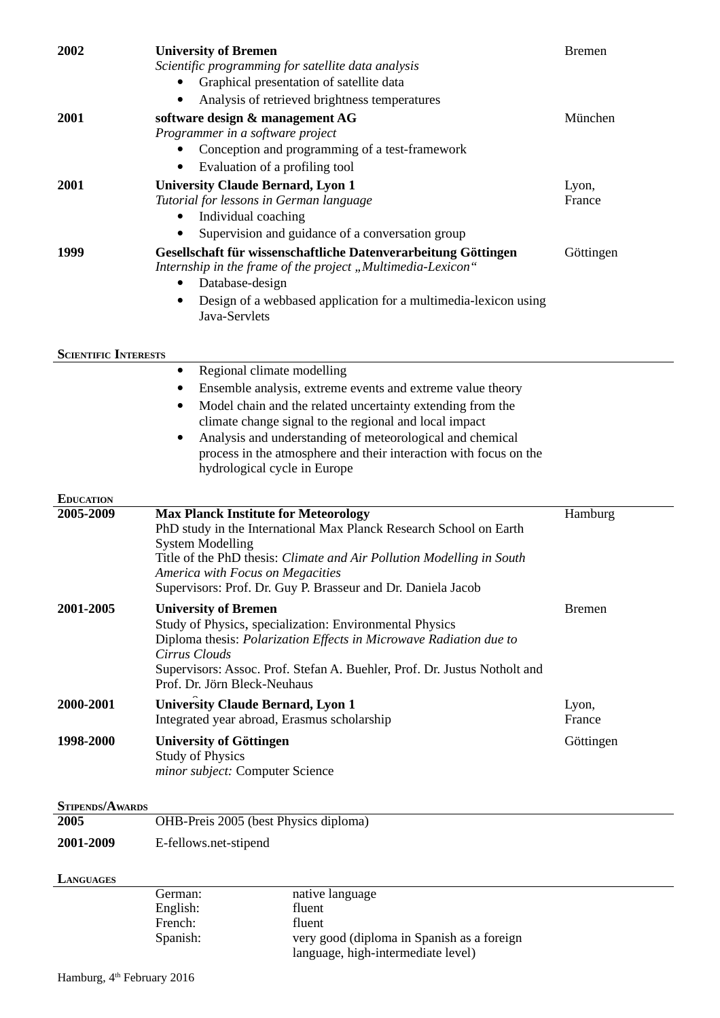| 2002                          | <b>University of Bremen</b><br>Scientific programming for satellite data analysis                                                                                                                                   | <b>Bremen</b> |
|-------------------------------|---------------------------------------------------------------------------------------------------------------------------------------------------------------------------------------------------------------------|---------------|
|                               | Graphical presentation of satellite data                                                                                                                                                                            |               |
|                               | Analysis of retrieved brightness temperatures                                                                                                                                                                       |               |
| 2001                          | software design & management AG                                                                                                                                                                                     | München       |
|                               | Programmer in a software project                                                                                                                                                                                    |               |
|                               | Conception and programming of a test-framework                                                                                                                                                                      |               |
|                               | Evaluation of a profiling tool<br>$\bullet$                                                                                                                                                                         |               |
| 2001                          | <b>University Claude Bernard, Lyon 1</b>                                                                                                                                                                            | Lyon,         |
|                               | Tutorial for lessons in German language                                                                                                                                                                             | France        |
|                               | Individual coaching                                                                                                                                                                                                 |               |
|                               | Supervision and guidance of a conversation group                                                                                                                                                                    |               |
| 1999                          | Gesellschaft für wissenschaftliche Datenverarbeitung Göttingen<br>Internship in the frame of the project "Multimedia-Lexicon"<br>Database-design<br>Design of a webbased application for a multimedia-lexicon using | Göttingen     |
|                               | Java-Servlets                                                                                                                                                                                                       |               |
|                               |                                                                                                                                                                                                                     |               |
| <b>SCIENTIFIC INTERESTS</b>   | Regional climate modelling<br>٠                                                                                                                                                                                     |               |
|                               | Ensemble analysis, extreme events and extreme value theory                                                                                                                                                          |               |
|                               | Model chain and the related uncertainty extending from the                                                                                                                                                          |               |
|                               | climate change signal to the regional and local impact                                                                                                                                                              |               |
|                               | Analysis and understanding of meteorological and chemical                                                                                                                                                           |               |
|                               | process in the atmosphere and their interaction with focus on the                                                                                                                                                   |               |
|                               | hydrological cycle in Europe                                                                                                                                                                                        |               |
|                               |                                                                                                                                                                                                                     |               |
|                               |                                                                                                                                                                                                                     |               |
| <b>EDUCATION</b><br>2005-2009 |                                                                                                                                                                                                                     |               |
|                               | <b>Max Planck Institute for Meteorology</b><br>PhD study in the International Max Planck Research School on Earth                                                                                                   | Hamburg       |
|                               | <b>System Modelling</b>                                                                                                                                                                                             |               |
|                               | Title of the PhD thesis: Climate and Air Pollution Modelling in South                                                                                                                                               |               |
|                               | America with Focus on Megacities                                                                                                                                                                                    |               |
|                               | Supervisors: Prof. Dr. Guy P. Brasseur and Dr. Daniela Jacob                                                                                                                                                        |               |
| 2001-2005                     | <b>University of Bremen</b>                                                                                                                                                                                         | <b>Bremen</b> |
|                               | Study of Physics, specialization: Environmental Physics<br>Diploma thesis: Polarization Effects in Microwave Radiation due to                                                                                       |               |
|                               | Cirrus Clouds                                                                                                                                                                                                       |               |
|                               | Supervisors: Assoc. Prof. Stefan A. Buehler, Prof. Dr. Justus Notholt and                                                                                                                                           |               |
|                               | Prof. Dr. Jörn Bleck-Neuhaus                                                                                                                                                                                        |               |
| 2000-2001                     | <b>University Claude Bernard, Lyon 1</b>                                                                                                                                                                            | Lyon,         |
|                               | Integrated year abroad, Erasmus scholarship                                                                                                                                                                         | France        |
| 1998-2000                     | <b>University of Göttingen</b>                                                                                                                                                                                      | Göttingen     |
|                               | <b>Study of Physics</b>                                                                                                                                                                                             |               |
|                               | minor subject: Computer Science                                                                                                                                                                                     |               |
| <b>STIPENDS/AWARDS</b>        |                                                                                                                                                                                                                     |               |
| 2005                          | OHB-Preis 2005 (best Physics diploma)                                                                                                                                                                               |               |
| 2001-2009                     | E-fellows.net-stipend                                                                                                                                                                                               |               |
|                               |                                                                                                                                                                                                                     |               |
| LANGUAGES                     |                                                                                                                                                                                                                     |               |
|                               | German:<br>native language<br>English:<br>fluent                                                                                                                                                                    |               |

French: fluent

Spanish: very good (diploma in Spanish as a foreign

language, high-intermediate level)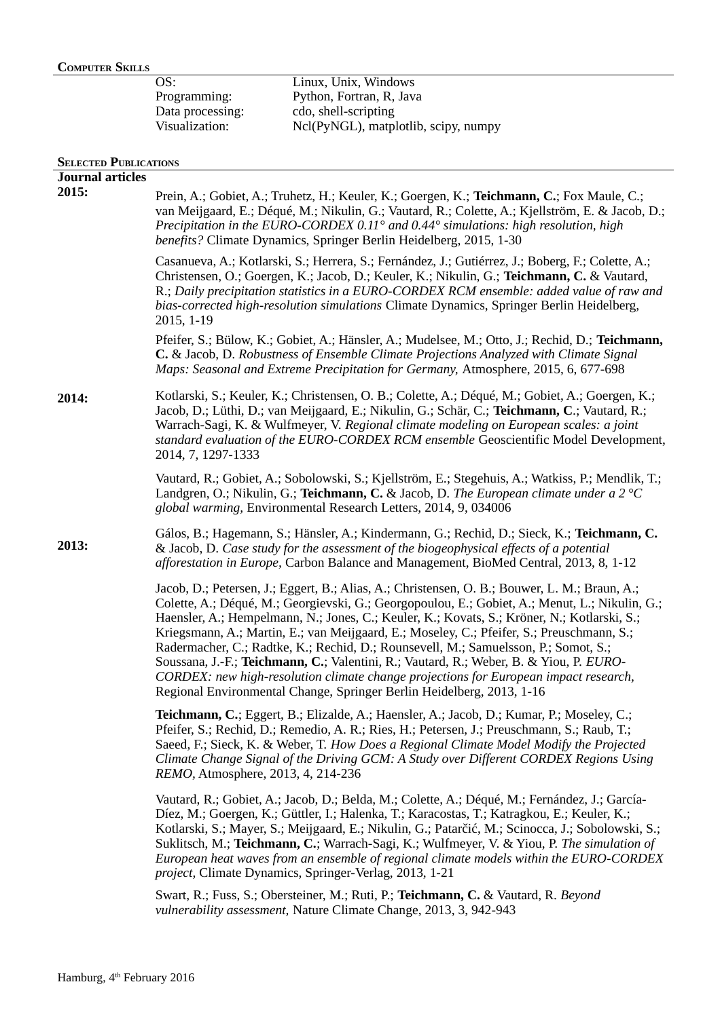## **COMPUTER SKILLS**

| OS:              | Linux, Unix, Windows                 |
|------------------|--------------------------------------|
| Programming:     | Python, Fortran, R, Java             |
| Data processing: | cdo, shell-scripting                 |
| Visualization:   | Ncl(PyNGL), matplotlib, scipy, numpy |
|                  |                                      |

## **SELECTED PUBLICATIONS**

| <b>Journal articles</b> |                                                                                                                                                                                                                                                                                                                                                                                                                                                                                                                                                                                                                                                                                                                                               |
|-------------------------|-----------------------------------------------------------------------------------------------------------------------------------------------------------------------------------------------------------------------------------------------------------------------------------------------------------------------------------------------------------------------------------------------------------------------------------------------------------------------------------------------------------------------------------------------------------------------------------------------------------------------------------------------------------------------------------------------------------------------------------------------|
| 2015:                   | Prein, A.; Gobiet, A.; Truhetz, H.; Keuler, K.; Goergen, K.; Teichmann, C.; Fox Maule, C.;<br>van Meijgaard, E.; Déqué, M.; Nikulin, G.; Vautard, R.; Colette, A.; Kjellström, E. & Jacob, D.;<br>Precipitation in the EURO-CORDEX 0.11° and 0.44° simulations: high resolution, high<br>benefits? Climate Dynamics, Springer Berlin Heidelberg, 2015, 1-30                                                                                                                                                                                                                                                                                                                                                                                   |
|                         | Casanueva, A.; Kotlarski, S.; Herrera, S.; Fernández, J.; Gutiérrez, J.; Boberg, F.; Colette, A.;<br>Christensen, O.; Goergen, K.; Jacob, D.; Keuler, K.; Nikulin, G.; Teichmann, C. & Vautard,<br>R.; Daily precipitation statistics in a EURO-CORDEX RCM ensemble: added value of raw and<br>bias-corrected high-resolution simulations Climate Dynamics, Springer Berlin Heidelberg,<br>2015, 1-19                                                                                                                                                                                                                                                                                                                                         |
|                         | Pfeifer, S.; Bülow, K.; Gobiet, A.; Hänsler, A.; Mudelsee, M.; Otto, J.; Rechid, D.; Teichmann,<br>C. & Jacob, D. Robustness of Ensemble Climate Projections Analyzed with Climate Signal<br>Maps: Seasonal and Extreme Precipitation for Germany, Atmosphere, 2015, 6, 677-698                                                                                                                                                                                                                                                                                                                                                                                                                                                               |
| 2014:                   | Kotlarski, S.; Keuler, K.; Christensen, O. B.; Colette, A.; Déqué, M.; Gobiet, A.; Goergen, K.;<br>Jacob, D.; Lüthi, D.; van Meijgaard, E.; Nikulin, G.; Schär, C.; Teichmann, C.; Vautard, R.;<br>Warrach-Sagi, K. & Wulfmeyer, V. Regional climate modeling on European scales: a joint<br>standard evaluation of the EURO-CORDEX RCM ensemble Geoscientific Model Development,<br>2014, 7, 1297-1333                                                                                                                                                                                                                                                                                                                                       |
|                         | Vautard, R.; Gobiet, A.; Sobolowski, S.; Kjellström, E.; Stegehuis, A.; Watkiss, P.; Mendlik, T.;<br>Landgren, O.; Nikulin, G.; Teichmann, C. & Jacob, D. The European climate under a 2 °C<br>global warming, Environmental Research Letters, 2014, 9, 034006                                                                                                                                                                                                                                                                                                                                                                                                                                                                                |
| 2013:                   | Gálos, B.; Hagemann, S.; Hänsler, A.; Kindermann, G.; Rechid, D.; Sieck, K.; Teichmann, C.<br>& Jacob, D. Case study for the assessment of the biogeophysical effects of a potential<br>afforestation in Europe, Carbon Balance and Management, BioMed Central, 2013, 8, 1-12                                                                                                                                                                                                                                                                                                                                                                                                                                                                 |
|                         | Jacob, D.; Petersen, J.; Eggert, B.; Alias, A.; Christensen, O. B.; Bouwer, L. M.; Braun, A.;<br>Colette, A.; Déqué, M.; Georgievski, G.; Georgopoulou, E.; Gobiet, A.; Menut, L.; Nikulin, G.;<br>Haensler, A.; Hempelmann, N.; Jones, C.; Keuler, K.; Kovats, S.; Kröner, N.; Kotlarski, S.;<br>Kriegsmann, A.; Martin, E.; van Meijgaard, E.; Moseley, C.; Pfeifer, S.; Preuschmann, S.;<br>Radermacher, C.; Radtke, K.; Rechid, D.; Rounsevell, M.; Samuelsson, P.; Somot, S.;<br>Soussana, J.-F.; Teichmann, C.; Valentini, R.; Vautard, R.; Weber, B. & Yiou, P. EURO-<br>CORDEX: new high-resolution climate change projections for European impact research,<br>Regional Environmental Change, Springer Berlin Heidelberg, 2013, 1-16 |
|                         | Teichmann, C.; Eggert, B.; Elizalde, A.; Haensler, A.; Jacob, D.; Kumar, P.; Moseley, C.;<br>Pfeifer, S.; Rechid, D.; Remedio, A. R.; Ries, H.; Petersen, J.; Preuschmann, S.; Raub, T.;<br>Saeed, F.; Sieck, K. & Weber, T. How Does a Regional Climate Model Modify the Projected<br>Climate Change Signal of the Driving GCM: A Study over Different CORDEX Regions Using<br>REMO, Atmosphere, 2013, 4, 214-236                                                                                                                                                                                                                                                                                                                            |
|                         | Vautard, R.; Gobiet, A.; Jacob, D.; Belda, M.; Colette, A.; Déqué, M.; Fernández, J.; García-<br>Díez, M.; Goergen, K.; Güttler, I.; Halenka, T.; Karacostas, T.; Katragkou, E.; Keuler, K.;<br>Kotlarski, S.; Mayer, S.; Meijgaard, E.; Nikulin, G.; Patarčić, M.; Scinocca, J.; Sobolowski, S.;<br>Suklitsch, M.; Teichmann, C.; Warrach-Sagi, K.; Wulfmeyer, V. & Yiou, P. The simulation of<br>European heat waves from an ensemble of regional climate models within the EURO-CORDEX<br>project, Climate Dynamics, Springer-Verlag, 2013, 1-21                                                                                                                                                                                           |
|                         | Swart, R.; Fuss, S.; Obersteiner, M.; Ruti, P.; Teichmann, C. & Vautard, R. Beyond<br>vulnerability assessment, Nature Climate Change, 2013, 3, 942-943                                                                                                                                                                                                                                                                                                                                                                                                                                                                                                                                                                                       |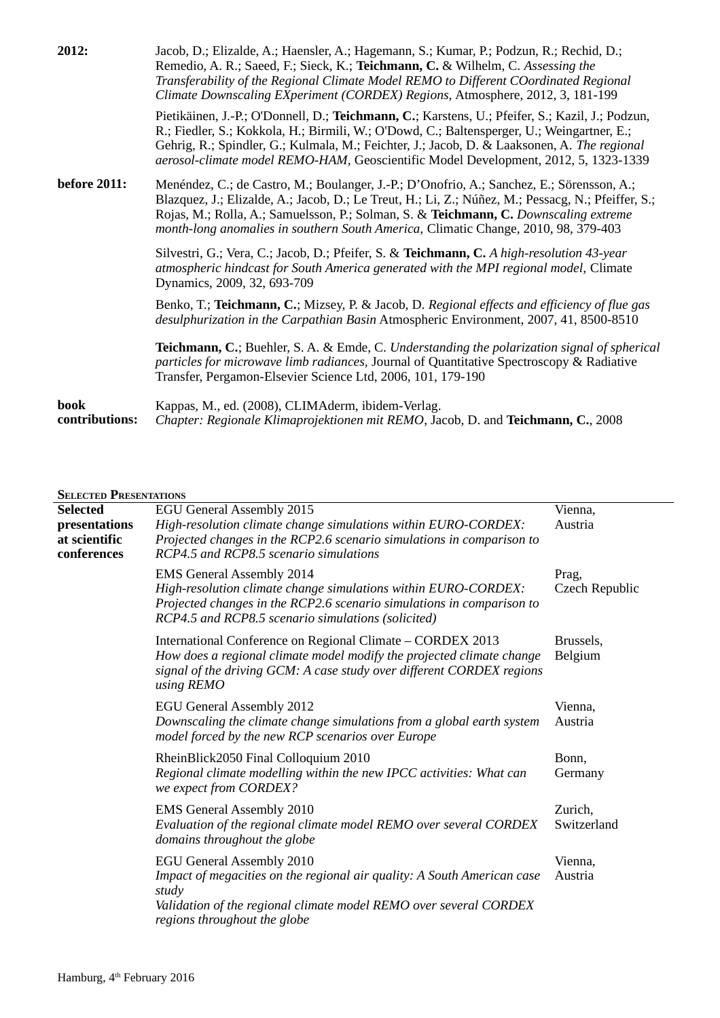| 2012:                  | Jacob, D.; Elizalde, A.; Haensler, A.; Hagemann, S.; Kumar, P.; Podzun, R.; Rechid, D.;<br>Remedio, A. R.; Saeed, F.; Sieck, K.; Teichmann, C. & Wilhelm, C. Assessing the<br>Transferability of the Regional Climate Model REMO to Different COordinated Regional<br>Climate Downscaling EXperiment (CORDEX) Regions, Atmosphere, 2012, 3, 181-199                                 |
|------------------------|-------------------------------------------------------------------------------------------------------------------------------------------------------------------------------------------------------------------------------------------------------------------------------------------------------------------------------------------------------------------------------------|
|                        | Pietikäinen, J.-P.; O'Donnell, D.; Teichmann, C.; Karstens, U.; Pfeifer, S.; Kazil, J.; Podzun,<br>R.; Fiedler, S.; Kokkola, H.; Birmili, W.; O'Dowd, C.; Baltensperger, U.; Weingartner, E.;<br>Gehrig, R.; Spindler, G.; Kulmala, M.; Feichter, J.; Jacob, D. & Laaksonen, A. The regional<br>aerosol-climate model REMO-HAM, Geoscientific Model Development, 2012, 5, 1323-1339 |
| <b>before 2011:</b>    | Menéndez, C.; de Castro, M.; Boulanger, J.-P.; D'Onofrio, A.; Sanchez, E.; Sörensson, A.;<br>Blazquez, J.; Elizalde, A.; Jacob, D.; Le Treut, H.; Li, Z.; Núñez, M.; Pessacg, N.; Pfeiffer, S.;<br>Rojas, M.; Rolla, A.; Samuelsson, P.; Solman, S. & Teichmann, C. Downscaling extreme<br>month-long anomalies in southern South America, Climatic Change, 2010, 98, 379-403       |
|                        | Silvestri, G.; Vera, C.; Jacob, D.; Pfeifer, S. & Teichmann, C. A high-resolution 43-year<br>atmospheric hindcast for South America generated with the MPI regional model, Climate<br>Dynamics, 2009, 32, 693-709                                                                                                                                                                   |
|                        | Benko, T.; Teichmann, C.; Mizsey, P. & Jacob, D. Regional effects and efficiency of flue gas<br>desulphurization in the Carpathian Basin Atmospheric Environment, 2007, 41, 8500-8510                                                                                                                                                                                               |
|                        | <b>Teichmann, C.</b> ; Buehler, S. A. & Emde, C. Understanding the polarization signal of spherical<br>particles for microwave limb radiances, Journal of Quantitative Spectroscopy & Radiative<br>Transfer, Pergamon-Elsevier Science Ltd, 2006, 101, 179-190                                                                                                                      |
| book<br>contributions: | Kappas, M., ed. (2008), CLIMAderm, ibidem-Verlag.<br>Chapter: Regionale Klimaprojektionen mit REMO, Jacob, D. and Teichmann, C., 2008                                                                                                                                                                                                                                               |

## **SELECTED PRESENTATIONS**

| OELECTED I RESENTATIONS                       |                                                                                                                                                                                                                                   |                         |
|-----------------------------------------------|-----------------------------------------------------------------------------------------------------------------------------------------------------------------------------------------------------------------------------------|-------------------------|
| <b>Selected</b>                               | <b>EGU General Assembly 2015</b>                                                                                                                                                                                                  | Vienna,                 |
| presentations<br>at scientific<br>conferences | High-resolution climate change simulations within EURO-CORDEX:<br>Projected changes in the RCP2.6 scenario simulations in comparison to<br>RCP4.5 and RCP8.5 scenario simulations                                                 | Austria                 |
|                                               | <b>EMS General Assembly 2014</b><br>High-resolution climate change simulations within EURO-CORDEX:<br>Projected changes in the RCP2.6 scenario simulations in comparison to<br>RCP4.5 and RCP8.5 scenario simulations (solicited) | Prag,<br>Czech Republic |
|                                               | International Conference on Regional Climate - CORDEX 2013<br>How does a regional climate model modify the projected climate change<br>signal of the driving GCM: A case study over different CORDEX regions<br>using REMO        | Brussels,<br>Belgium    |
|                                               | <b>EGU General Assembly 2012</b><br>Downscaling the climate change simulations from a global earth system<br>model forced by the new RCP scenarios over Europe                                                                    | Vienna,<br>Austria      |
|                                               | RheinBlick2050 Final Colloquium 2010<br>Regional climate modelling within the new IPCC activities: What can<br>we expect from CORDEX?                                                                                             | Bonn,<br>Germany        |
|                                               | <b>EMS General Assembly 2010</b><br>Evaluation of the regional climate model REMO over several CORDEX<br>domains throughout the globe                                                                                             | Zurich,<br>Switzerland  |
|                                               | <b>EGU General Assembly 2010</b><br>Impact of megacities on the regional air quality: A South American case<br>study<br>Validation of the regional climate model REMO over several CORDEX<br>regions throughout the globe         | Vienna,<br>Austria      |
|                                               |                                                                                                                                                                                                                                   |                         |